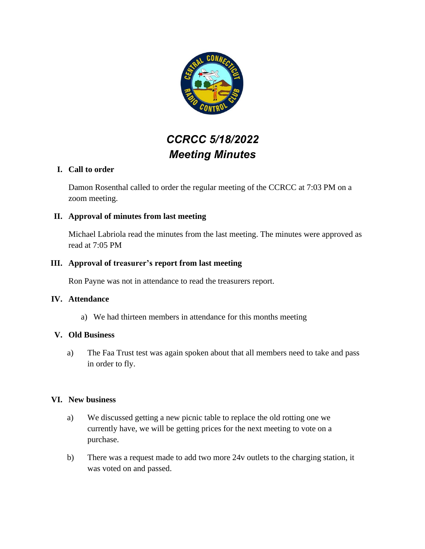

# *CCRCC 5/18/2022 Meeting Minutes*

# **I. Call to order**

Damon Rosenthal called to order the regular meeting of the CCRCC at 7:03 PM on a zoom meeting.

# **II. Approval of minutes from last meeting**

Michael Labriola read the minutes from the last meeting. The minutes were approved as read at 7:05 PM

# **III. Approval of treasurer's report from last meeting**

Ron Payne was not in attendance to read the treasurers report.

## **IV. Attendance**

a) We had thirteen members in attendance for this months meeting

## **V. Old Business**

a) The Faa Trust test was again spoken about that all members need to take and pass in order to fly.

## **VI. New business**

- a) We discussed getting a new picnic table to replace the old rotting one we currently have, we will be getting prices for the next meeting to vote on a purchase.
- b) There was a request made to add two more 24v outlets to the charging station, it was voted on and passed.